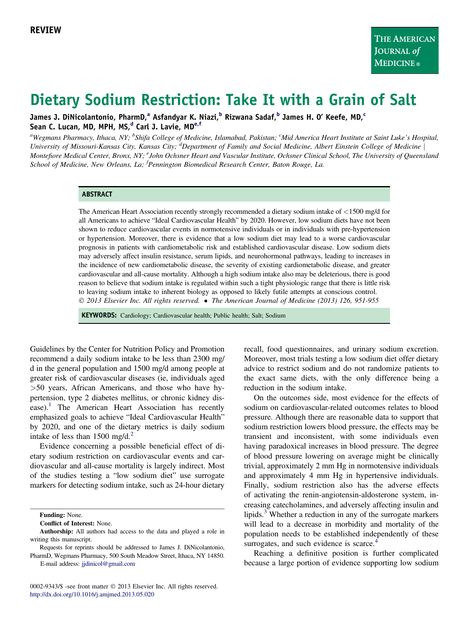# Dietary Sodium Restriction: Take It with a Grain of Salt

James J. DiNicolantonio, PharmD,<sup>a</sup> Asfandyar K. Niazi,<sup>b</sup> Rizwana Sadaf,<sup>b</sup> James H. O' Keefe, MD,<sup>c</sup> Sean C. Lucan, MD, MPH, MS,<sup>d</sup> Carl J. Lavie, MD<sup>e,f</sup>

<sup>a</sup>Wegmans Pharmacy, Ithaca, NY; <sup>b</sup>Shifa College of Medicine, Islamabad, Pakistan; <sup>c</sup>Mid America Heart Institute at Saint Luke's Hospital, University of Missouri-Kansas City, Kansas City; <sup>d</sup>Department of Family and Social Medicine, Albert Einstein College of Medicine | Montefiore Medical Center, Bronx, NY; <sup>e</sup>John Ochsner Heart and Vascular Institute, Ochsner Clinical School, The University of Queensland School of Medicine, New Orleans, La; <sup>f</sup>Pennington Biomedical Research Center, Baton Rouge, La.

#### ABSTRACT

The American Heart Association recently strongly recommended a dietary sodium intake of <1500 mg/d for all Americans to achieve "Ideal Cardiovascular Health" by 2020. However, low sodium diets have not been shown to reduce cardiovascular events in normotensive individuals or in individuals with pre-hypertension or hypertension. Moreover, there is evidence that a low sodium diet may lead to a worse cardiovascular prognosis in patients with cardiometabolic risk and established cardiovascular disease. Low sodium diets may adversely affect insulin resistance, serum lipids, and neurohormonal pathways, leading to increases in the incidence of new cardiometabolic disease, the severity of existing cardiometabolic disease, and greater cardiovascular and all-cause mortality. Although a high sodium intake also may be deleterious, there is good reason to believe that sodium intake is regulated within such a tight physiologic range that there is little risk to leaving sodium intake to inherent biology as opposed to likely futile attempts at conscious control. © 2013 Elsevier Inc. All rights reserved. • The American Journal of Medicine (2013) 126, 951-955

KEYWORDS: Cardiology; Cardiovascular health; Public health; Salt; Sodium

Guidelines by the Center for Nutrition Policy and Promotion recommend a daily sodium intake to be less than 2300 mg/ d in the general population and 1500 mg/d among people at greater risk of cardiovascular diseases (ie, individuals aged >50 years, African Americans, and those who have hypertension, type 2 diabetes mellitus, or chronic kidney dis-ease).<sup>[1](#page-4-0)</sup> The American Heart Association has recently emphasized goals to achieve "Ideal Cardiovascular Health" by 2020, and one of the dietary metrics is daily sodium intake of less than  $1500 \text{ mg/d.}^2$  $1500 \text{ mg/d.}^2$ 

Evidence concerning a possible beneficial effect of dietary sodium restriction on cardiovascular events and cardiovascular and all-cause mortality is largely indirect. Most of the studies testing a "low sodium diet" use surrogate markers for detecting sodium intake, such as 24-hour dietary

Funding: None.

0002-9343/\$ -see front matter © 2013 Elsevier Inc. All rights reserved. <http://dx.doi.org/10.1016/j.amjmed.2013.05.020>

recall, food questionnaires, and urinary sodium excretion. Moreover, most trials testing a low sodium diet offer dietary advice to restrict sodium and do not randomize patients to the exact same diets, with the only difference being a reduction in the sodium intake.

On the outcomes side, most evidence for the effects of sodium on cardiovascular-related outcomes relates to blood pressure. Although there are reasonable data to support that sodium restriction lowers blood pressure, the effects may be transient and inconsistent, with some individuals even having paradoxical increases in blood pressure. The degree of blood pressure lowering on average might be clinically trivial, approximately 2 mm Hg in normotensive individuals and approximately 4 mm Hg in hypertensive individuals. Finally, sodium restriction also has the adverse effects of activating the renin-angiotensin-aldosterone system, increasing catecholamines, and adversely affecting insulin and lipids. $3$  Whether a reduction in any of the surrogate markers will lead to a decrease in morbidity and mortality of the population needs to be established independently of these surrogates, and such evidence is scarce.<sup>[4](#page-4-0)</sup>

Reaching a definitive position is further complicated because a large portion of evidence supporting low sodium

Conflict of Interest: None.

Authorship: All authors had access to the data and played a role in writing this manuscript.

Requests for reprints should be addressed to James J. DiNicolantonio, PharmD, Wegmans Pharmacy, 500 South Meadow Street, Ithaca, NY 14850. E-mail address: [jjdinicol@gmail.com](mailto:jjdinicol@gmail.com)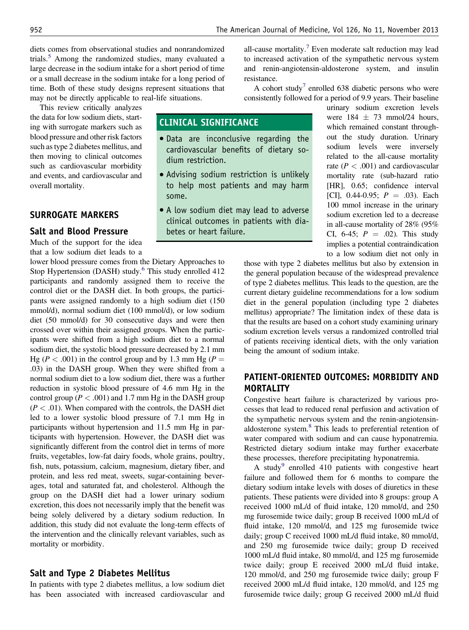diets comes from observational studies and nonrandomized trials.<sup>[5](#page-4-0)</sup> Among the randomized studies, many evaluated a large decrease in the sodium intake for a short period of time or a small decrease in the sodium intake for a long period of time. Both of these study designs represent situations that may not be directly applicable to real-life situations.

This review critically analyzes the data for low sodium diets, starting with surrogate markers such as blood pressure and other risk factors such as type 2 diabetes mellitus, and then moving to clinical outcomes such as cardiovascular morbidity and events, and cardiovascular and overall mortality.

#### SURROGATE MARKERS

## Salt and Blood Pressure

Much of the support for the idea that a low sodium diet leads to a

lower blood pressure comes from the Dietary Approaches to Stop Hypertension (DASH) study.<sup>6</sup> This study enrolled 412 participants and randomly assigned them to receive the control diet or the DASH diet. In both groups, the participants were assigned randomly to a high sodium diet (150 mmol/d), normal sodium diet (100 mmol/d), or low sodium diet (50 mmol/d) for 30 consecutive days and were then crossed over within their assigned groups. When the participants were shifted from a high sodium diet to a normal sodium diet, the systolic blood pressure decreased by 2.1 mm Hg ( $P < .001$ ) in the control group and by 1.3 mm Hg ( $P =$ .03) in the DASH group. When they were shifted from a normal sodium diet to a low sodium diet, there was a further reduction in systolic blood pressure of 4.6 mm Hg in the control group ( $P < .001$ ) and 1.7 mm Hg in the DASH group  $(P < .01)$ . When compared with the controls, the DASH diet led to a lower systolic blood pressure of 7.1 mm Hg in participants without hypertension and 11.5 mm Hg in participants with hypertension. However, the DASH diet was significantly different from the control diet in terms of more fruits, vegetables, low-fat dairy foods, whole grains, poultry, fish, nuts, potassium, calcium, magnesium, dietary fiber, and protein, and less red meat, sweets, sugar-containing beverages, total and saturated fat, and cholesterol. Although the group on the DASH diet had a lower urinary sodium excretion, this does not necessarily imply that the benefit was being solely delivered by a dietary sodium reduction. In addition, this study did not evaluate the long-term effects of the intervention and the clinically relevant variables, such as mortality or morbidity.

#### Salt and Type 2 Diabetes Mellitus

In patients with type 2 diabetes mellitus, a low sodium diet has been associated with increased cardiovascular and all-cause mortality.<sup>[7](#page-4-0)</sup> Even moderate salt reduction may lead to increased activation of the sympathetic nervous system and renin-angiotensin-aldosterone system, and insulin resistance.

A cohort study<sup>[7](#page-4-0)</sup> enrolled 638 diabetic persons who were consistently followed for a period of 9.9 years. Their baseline

### CLINICAL SIGNIFICANCE

- Data are inconclusive regarding the cardiovascular benefits of dietary sodium restriction.
- $\bullet$  Advising sodium restriction is unlikely to help most patients and may harm some.
- A low sodium diet may lead to adverse clinical outcomes in patients with diabetes or heart failure.

urinary sodium excretion levels were  $184 \pm 73$  mmol/24 hours, which remained constant throughout the study duration. Urinary sodium levels were inversely related to the all-cause mortality rate ( $P < .001$ ) and cardiovascular mortality rate (sub-hazard ratio [HR], 0.65; confidence interval [CI], 0.44-0.95;  $P = .03$ ). Each 100 mmol increase in the urinary sodium excretion led to a decrease in all-cause mortality of 28% (95% CI, 6-45;  $P = .02$ ). This study implies a potential contraindication to a low sodium diet not only in

those with type 2 diabetes mellitus but also by extension in the general population because of the widespread prevalence of type 2 diabetes mellitus. This leads to the question, are the current dietary guideline recommendations for a low sodium diet in the general population (including type 2 diabetes mellitus) appropriate? The limitation index of these data is that the results are based on a cohort study examining urinary sodium excretion levels versus a randomized controlled trial of patients receiving identical diets, with the only variation being the amount of sodium intake.

### PATIENT-ORIENTED OUTCOMES: MORBIDITY AND **MORTALITY**

Congestive heart failure is characterized by various processes that lead to reduced renal perfusion and activation of the sympathetic nervous system and the renin-angiotensinaldosterone system.[8](#page-4-0) This leads to preferential retention of water compared with sodium and can cause hyponatremia. Restricted dietary sodium intake may further exacerbate these processes, therefore precipitating hyponatremia.

A study $9$  enrolled 410 patients with congestive heart failure and followed them for 6 months to compare the dietary sodium intake levels with doses of diuretics in these patients. These patients were divided into 8 groups: group A received 1000 mL/d of fluid intake, 120 mmol/d, and 250 mg furosemide twice daily; group B received 1000 mL/d of fluid intake, 120 mmol/d, and 125 mg furosemide twice daily; group C received 1000 mL/d fluid intake, 80 mmol/d, and 250 mg furosemide twice daily; group D received 1000 mL/d fluid intake, 80 mmol/d, and 125 mg furosemide twice daily; group E received 2000 mL/d fluid intake, 120 mmol/d, and 250 mg furosemide twice daily; group F received 2000 mL/d fluid intake, 120 mmol/d, and 125 mg furosemide twice daily; group G received 2000 mL/d fluid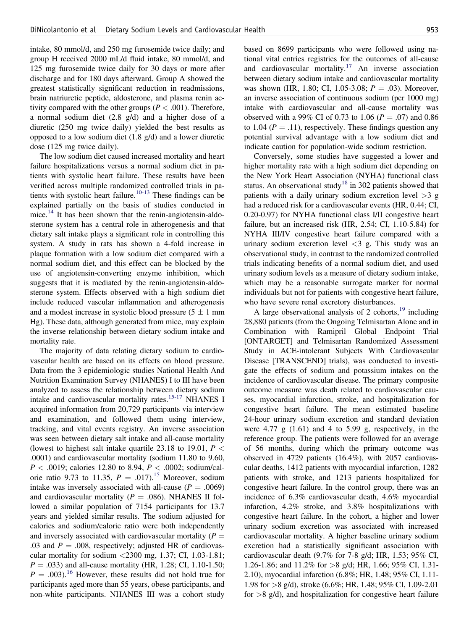intake, 80 mmol/d, and 250 mg furosemide twice daily; and group H received 2000 mL/d fluid intake, 80 mmol/d, and 125 mg furosemide twice daily for 30 days or more after discharge and for 180 days afterward. Group A showed the greatest statistically significant reduction in readmissions, brain natriuretic peptide, aldosterone, and plasma renin activity compared with the other groups ( $P < .001$ ). Therefore, a normal sodium diet (2.8 g/d) and a higher dose of a diuretic (250 mg twice daily) yielded the best results as opposed to a low sodium diet (1.8 g/d) and a lower diuretic dose (125 mg twice daily).

The low sodium diet caused increased mortality and heart failure hospitalizations versus a normal sodium diet in patients with systolic heart failure. These results have been verified across multiple randomized controlled trials in pa-tients with systolic heart failure.<sup>[10-13](#page-4-0)</sup> These findings can be explained partially on the basis of studies conducted in mice.<sup>[14](#page-4-0)</sup> It has been shown that the renin-angiotensin-aldosterone system has a central role in atherogenesis and that dietary salt intake plays a significant role in controlling this system. A study in rats has shown a 4-fold increase in plaque formation with a low sodium diet compared with a normal sodium diet, and this effect can be blocked by the use of angiotensin-converting enzyme inhibition, which suggests that it is mediated by the renin-angiotensin-aldosterone system. Effects observed with a high sodium diet include reduced vascular inflammation and atherogenesis and a modest increase in systolic blood pressure  $(5 \pm 1 \text{ mm})$ Hg). These data, although generated from mice, may explain the inverse relationship between dietary sodium intake and mortality rate.

The majority of data relating dietary sodium to cardiovascular health are based on its effects on blood pressure. Data from the 3 epidemiologic studies National Health And Nutrition Examination Survey (NHANES) I to III have been analyzed to assess the relationship between dietary sodium intake and cardiovascular mortality rates.[15-17](#page-4-0) NHANES I acquired information from 20,729 participants via interview and examination, and followed them using interview, tracking, and vital events registry. An inverse association was seen between dietary salt intake and all-cause mortality (lowest to highest salt intake quartile 23.18 to 19.01,  $P <$ .0001) and cardiovascular mortality (sodium 11.80 to 9.60,  $P < .0019$ ; calories 12.80 to 8.94,  $P < .0002$ ; sodium/calorie ratio 9.73 to 11.35,  $P = .017$ .<sup>[15](#page-4-0)</sup> Moreover, sodium intake was inversely associated with all-cause ( $P = .0069$ ) and cardiovascular mortality ( $P = .086$ ). NHANES II followed a similar population of 7154 participants for 13.7 years and yielded similar results. The sodium adjusted for calories and sodium/calorie ratio were both independently and inversely associated with cardiovascular mortality  $(P =$ .03 and  $P = .008$ , respectively; adjusted HR of cardiovascular mortality for sodium  $\langle 2300 \text{ mg}, 1.37; \text{CI}, 1.03-1.81; \rangle$  $P = .033$ ) and all-cause mortality (HR, 1.28; CI, 1.10-1.50;  $P = .003$ .<sup>[16](#page-4-0)</sup> However, these results did not hold true for participants aged more than 55 years, obese participants, and non-white participants. NHANES III was a cohort study based on 8699 participants who were followed using national vital entries registries for the outcomes of all-cause and cardiovascular mortality.<sup>17</sup> An inverse association between dietary sodium intake and cardiovascular mortality was shown (HR, 1.80; CI, 1.05-3.08;  $P = .03$ ). Moreover, an inverse association of continuous sodium (per 1000 mg) intake with cardiovascular and all-cause mortality was observed with a 99% CI of 0.73 to 1.06 ( $P = .07$ ) and 0.86 to 1.04 ( $P = .11$ ), respectively. These findings question any potential survival advantage with a low sodium diet and indicate caution for population-wide sodium restriction.

Conversely, some studies have suggested a lower and higher mortality rate with a high sodium diet depending on the New York Heart Association (NYHA) functional class status. An observational study<sup>[18](#page-4-0)</sup> in 302 patients showed that patients with a daily urinary sodium excretion level  $>3$  g had a reduced risk for a cardiovascular events (HR, 0.44; CI, 0.20-0.97) for NYHA functional class I/II congestive heart failure, but an increased risk (HR, 2.54; CI, 1.10-5.84) for NYHA III/IV congestive heart failure compared with a urinary sodium excretion level  $\langle 3 \rangle$  g. This study was an observational study, in contrast to the randomized controlled trials indicating benefits of a normal sodium diet, and used urinary sodium levels as a measure of dietary sodium intake, which may be a reasonable surrogate marker for normal individuals but not for patients with congestive heart failure, who have severe renal excretory disturbances.

A large observational analysis of 2 cohorts, $19$  including 28,880 patients (from the Ongoing Telmisartan Alone and in Combination with Ramipril Global Endpoint Trial [ONTARGET] and Telmisartan Randomized Assessment Study in ACE-intolerant Subjects With Cardiovascular Disease [TRANSCEND] trials), was conducted to investigate the effects of sodium and potassium intakes on the incidence of cardiovascular disease. The primary composite outcome measure was death related to cardiovascular causes, myocardial infarction, stroke, and hospitalization for congestive heart failure. The mean estimated baseline 24-hour urinary sodium excretion and standard deviation were  $4.77 \text{ g}$   $(1.61)$  and  $4$  to  $5.99 \text{ g}$ , respectively, in the reference group. The patients were followed for an average of 56 months, during which the primary outcome was observed in 4729 patients (16.4%), with 2057 cardiovascular deaths, 1412 patients with myocardial infarction, 1282 patients with stroke, and 1213 patients hospitalized for congestive heart failure. In the control group, there was an incidence of 6.3% cardiovascular death, 4.6% myocardial infarction, 4.2% stroke, and 3.8% hospitalizations with congestive heart failure. In the cohort, a higher and lower urinary sodium excretion was associated with increased cardiovascular mortality. A higher baseline urinary sodium excretion had a statistically significant association with cardiovascular death (9.7% for 7-8 g/d; HR, 1.53; 95% CI, 1.26-1.86; and 11.2% for >8 g/d; HR, 1.66; 95% CI, 1.31- 2.10), myocardial infarction (6.8%; HR, 1.48; 95% CI, 1.11- 1.98 for >8 g/d), stroke (6.6%; HR, 1.48; 95% CI, 1.09-2.01 for  $>8$  g/d), and hospitalization for congestive heart failure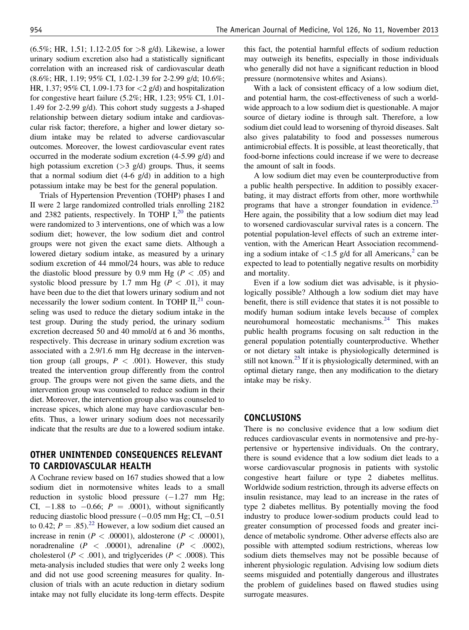$(6.5\%; HR, 1.51; 1.12-2.05$  for  $>8$  g/d). Likewise, a lower urinary sodium excretion also had a statistically significant correlation with an increased risk of cardiovascular death (8.6%; HR, 1.19; 95% CI, 1.02-1.39 for 2-2.99 g/d; 10.6%; HR, 1.37; 95% CI, 1.09-1.73 for <2 g/d) and hospitalization for congestive heart failure (5.2%; HR, 1.23; 95% CI, 1.01- 1.49 for 2-2.99 g/d). This cohort study suggests a J-shaped relationship between dietary sodium intake and cardiovascular risk factor; therefore, a higher and lower dietary sodium intake may be related to adverse cardiovascular outcomes. Moreover, the lowest cardiovascular event rates occurred in the moderate sodium excretion (4-5.99 g/d) and high potassium excretion  $(>3 \text{ g/d})$  groups. Thus, it seems that a normal sodium diet  $(4-6 \text{ g/d})$  in addition to a high potassium intake may be best for the general population.

Trials of Hypertension Prevention (TOHP) phases I and II were 2 large randomized controlled trials enrolling 2182 and 2382 patients, respectively. In TOHP  $I<sub>1</sub><sup>20</sup>$  $I<sub>1</sub><sup>20</sup>$  $I<sub>1</sub><sup>20</sup>$  the patients were randomized to 3 interventions, one of which was a low sodium diet; however, the low sodium diet and control groups were not given the exact same diets. Although a lowered dietary sodium intake, as measured by a urinary sodium excretion of 44 mmol/24 hours, was able to reduce the diastolic blood pressure by 0.9 mm Hg ( $P < .05$ ) and systolic blood pressure by 1.7 mm Hg ( $P < .01$ ), it may have been due to the diet that lowers urinary sodium and not necessarily the lower sodium content. In TOHP  $II$ ,<sup>[21](#page-4-0)</sup> counseling was used to reduce the dietary sodium intake in the test group. During the study period, the urinary sodium excretion decreased 50 and 40 mmol/d at 6 and 36 months, respectively. This decrease in urinary sodium excretion was associated with a 2.9/1.6 mm Hg decrease in the intervention group (all groups,  $P < .001$ ). However, this study treated the intervention group differently from the control group. The groups were not given the same diets, and the intervention group was counseled to reduce sodium in their diet. Moreover, the intervention group also was counseled to increase spices, which alone may have cardiovascular benefits. Thus, a lower urinary sodium does not necessarily indicate that the results are due to a lowered sodium intake.

## OTHER UNINTENDED CONSEQUENCES RELEVANT TO CARDIOVASCULAR HEALTH

A Cochrane review based on 167 studies showed that a low sodium diet in normotensive whites leads to a small reduction in systolic blood pressure  $(-1.27 \text{ mm Hg})$ ; CI,  $-1.88$  to  $-0.66$ ;  $P = .0001$ ), without significantly reducing diastolic blood pressure  $(-0.05 \text{ mm Hg}; \text{CI}, -0.51)$ to 0.42;  $P = .85$ .<sup>[22](#page-4-0)</sup> However, a low sodium diet caused an increase in renin ( $P < .00001$ ), aldosterone ( $P < .00001$ ), noradrenaline ( $P < .00001$ ), adrenaline ( $P < .0002$ ), cholesterol ( $P < .001$ ), and triglycerides ( $P < .0008$ ). This meta-analysis included studies that were only 2 weeks long and did not use good screening measures for quality. Inclusion of trials with an acute reduction in dietary sodium intake may not fully elucidate its long-term effects. Despite this fact, the potential harmful effects of sodium reduction may outweigh its benefits, especially in those individuals who generally did not have a significant reduction in blood pressure (normotensive whites and Asians).

With a lack of consistent efficacy of a low sodium diet, and potential harm, the cost-effectiveness of such a worldwide approach to a low sodium diet is questionable. A major source of dietary iodine is through salt. Therefore, a low sodium diet could lead to worsening of thyroid diseases. Salt also gives palatability to food and possesses numerous antimicrobial effects. It is possible, at least theoretically, that food-borne infections could increase if we were to decrease the amount of salt in foods.

A low sodium diet may even be counterproductive from a public health perspective. In addition to possibly exacerbating, it may distract efforts from other, more worthwhile programs that have a stronger foundation in evidence.<sup>[23](#page-4-0)</sup> Here again, the possibility that a low sodium diet may lead to worsened cardiovascular survival rates is a concern. The potential population-level effects of such an extreme intervention, with the American Heart Association recommending a sodium intake of  $\langle 1.5 \text{ g/d} \rangle$  for all Americans,<sup>[2](#page-4-0)</sup> can be expected to lead to potentially negative results on morbidity and mortality.

Even if a low sodium diet was advisable, is it physiologically possible? Although a low sodium diet may have benefit, there is still evidence that states it is not possible to modify human sodium intake levels because of complex neurohumoral homeostatic mechanisms.[24](#page-4-0) This makes public health programs focusing on salt reduction in the general population potentially counterproductive. Whether or not dietary salt intake is physiologically determined is still not known.<sup>[25](#page-4-0)</sup> If it is physiologically determined, with an optimal dietary range, then any modification to the dietary intake may be risky.

#### CONCLUSIONS

There is no conclusive evidence that a low sodium diet reduces cardiovascular events in normotensive and pre-hypertensive or hypertensive individuals. On the contrary, there is sound evidence that a low sodium diet leads to a worse cardiovascular prognosis in patients with systolic congestive heart failure or type 2 diabetes mellitus. Worldwide sodium restriction, through its adverse effects on insulin resistance, may lead to an increase in the rates of type 2 diabetes mellitus. By potentially moving the food industry to produce lower-sodium products could lead to greater consumption of processed foods and greater incidence of metabolic syndrome. Other adverse effects also are possible with attempted sodium restrictions, whereas low sodium diets themselves may not be possible because of inherent physiologic regulation. Advising low sodium diets seems misguided and potentially dangerous and illustrates the problem of guidelines based on flawed studies using surrogate measures.